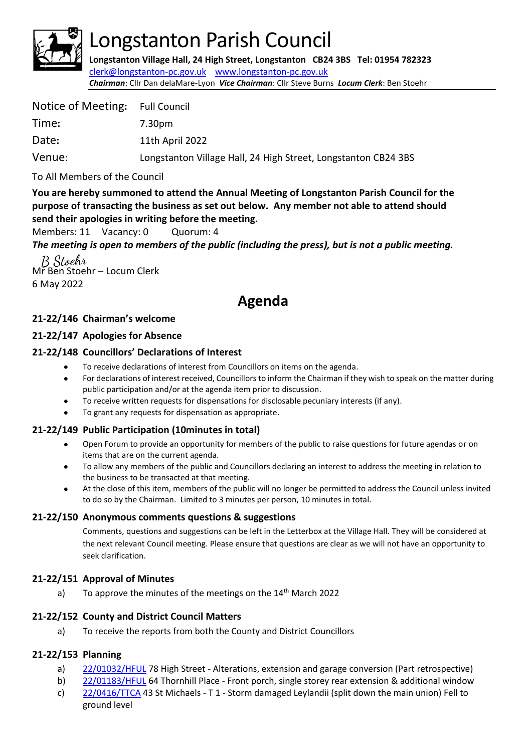

# Longstanton Parish Council

**Longstanton Village Hall, 24 High Street, Longstanton CB24 3BS Tel: 01954 782323** [clerk@longstanton-pc.gov.uk](mailto:clerk@longstanton-pc.gov.uk) [www.longstanton-pc.gov.uk](http://www.longstanton-pc.gov.uk/) *Chairman*: Cllr Dan delaMare-Lyon *Vice Chairman*: Cllr Steve Burns *Locum Clerk*: Ben Stoehr

| Notice of Meeting: Full Council |                                                                |
|---------------------------------|----------------------------------------------------------------|
| Time:                           | 7.30pm                                                         |
| Date:                           | 11th April 2022                                                |
| Venue:                          | Longstanton Village Hall, 24 High Street, Longstanton CB24 3BS |

To All Members of the Council

**You are hereby summoned to attend the Annual Meeting of Longstanton Parish Council for the purpose of transacting the business as set out below. Any member not able to attend should send their apologies in writing before the meeting.**

Members: 11 Vacancy: 0 Quorum: 4

*The meeting is open to members of the public (including the press), but is not a public meeting.* 

B Stoehr Mr Ben Stoehr – Locum Clerk 6 May 2022

# **Agenda**

#### **21-22/146 Chairman's welcome**

#### **21-22/147 Apologies for Absence**

#### **21-22/148 Councillors' Declarations of Interest**

- To receive declarations of interest from Councillors on items on the agenda.
- For declarations of interest received, Councillors to inform the Chairman if they wish to speak on the matter during public participation and/or at the agenda item prior to discussion.
- To receive written requests for dispensations for disclosable pecuniary interests (if any).
- To grant any requests for dispensation as appropriate.

#### **21-22/149 Public Participation (10minutes in total)**

- Open Forum to provide an opportunity for members of the public to raise questions for future agendas or on items that are on the current agenda.
- To allow any members of the public and Councillors declaring an interest to address the meeting in relation to the business to be transacted at that meeting.
- At the close of this item, members of the public will no longer be permitted to address the Council unless invited to do so by the Chairman. Limited to 3 minutes per person, 10 minutes in total.

#### **21-22/150 Anonymous comments questions & suggestions**

Comments, questions and suggestions can be left in the Letterbox at the Village Hall. They will be considered at the next relevant Council meeting. Please ensure that questions are clear as we will not have an opportunity to seek clarification.

#### **21-22/151 Approval of Minutes**

a) To approve the minutes of the meetings on the 14<sup>th</sup> March 2022

#### **21-22/152 County and District Council Matters**

a) To receive the reports from both the County and District Councillors

#### **21-22/153 Planning**

- a) [22/01032/HFUL](https://applications.greatercambridgeplanning.org/online-applications/PLAN/22/01032/HFUL) 78 High Street Alterations, extension and garage conversion (Part retrospective)
- b) [22/01183/HFUL](https://applications.greatercambridgeplanning.org/online-applications/PLAN/22/01183/HFUL) 64 Thornhill Place Front porch, single storey rear extension & additional windo[w](https://applications.greatercambridgeplanning.org/online-applications/PLAN/22/0416/TTCA)
- c) [22/0416/TTCA](https://applications.greatercambridgeplanning.org/online-applications/PLAN/22/0416/TTCA) 43 St Michaels T 1 Storm damaged Leylandii (split down the main union) Fell to ground level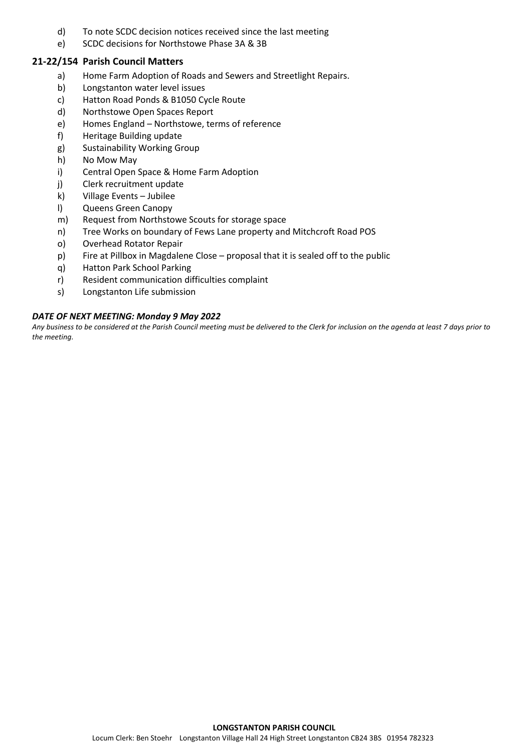- d) To note SCDC decision notices received since the last meeting
- e) SCDC decisions for Northstowe Phase 3A & 3B

#### **21-22/154 Parish Council Matters**

- a) Home Farm Adoption of Roads and Sewers and Streetlight Repairs.
- b) Longstanton water level issues
- c) Hatton Road Ponds & B1050 Cycle Route
- d) Northstowe Open Spaces Report
- e) Homes England Northstowe, terms of reference
- f) Heritage Building update
- g) Sustainability Working Group
- h) No Mow May
- i) Central Open Space & Home Farm Adoption
- j) Clerk recruitment update
- k) Village Events Jubilee
- l) Queens Green Canopy
- m) Request from Northstowe Scouts for storage space
- n) Tree Works on boundary of Fews Lane property and Mitchcroft Road POS
- o) Overhead Rotator Repair
- p) Fire at Pillbox in Magdalene Close proposal that it is sealed off to the public
- q) Hatton Park School Parking
- r) Resident communication difficulties complaint
- s) Longstanton Life submission

#### *DATE OF NEXT MEETING: Monday 9 May 2022*

*Any business to be considered at the Parish Council meeting must be delivered to the Clerk for inclusion on the agenda at least 7 days prior to the meeting.*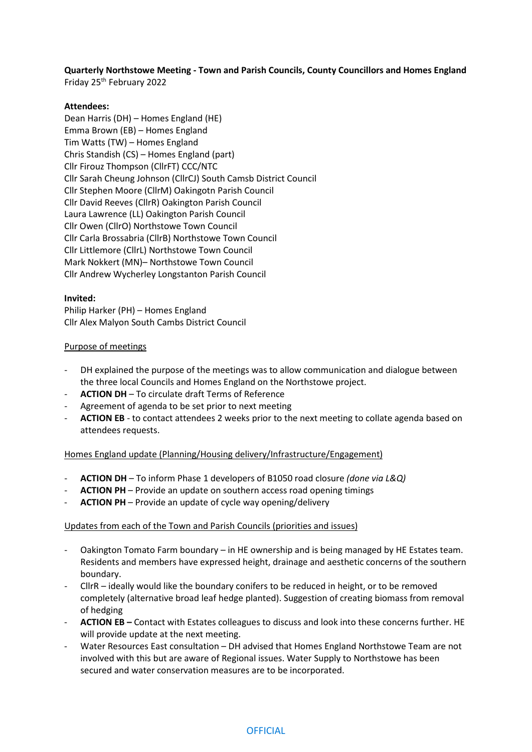**Quarterly Northstowe Meeting - Town and Parish Councils, County Councillors and Homes England** Friday 25th February 2022

#### **Attendees:**

Dean Harris (DH) – Homes England (HE) Emma Brown (EB) – Homes England Tim Watts (TW) – Homes England Chris Standish (CS) – Homes England (part) Cllr Firouz Thompson (CllrFT) CCC/NTC Cllr Sarah Cheung Johnson (CllrCJ) South Camsb District Council Cllr Stephen Moore (CllrM) Oakingotn Parish Council Cllr David Reeves (CllrR) Oakington Parish Council Laura Lawrence (LL) Oakington Parish Council Cllr Owen (CllrO) Northstowe Town Council Cllr Carla Brossabria (CllrB) Northstowe Town Council Cllr Littlemore (CllrL) Northstowe Town Council Mark Nokkert (MN)– Northstowe Town Council Cllr Andrew Wycherley Longstanton Parish Council

#### **Invited:**

Philip Harker (PH) – Homes England Cllr Alex Malyon South Cambs District Council

#### Purpose of meetings

- DH explained the purpose of the meetings was to allow communication and dialogue between the three local Councils and Homes England on the Northstowe project.
- **ACTION DH**  To circulate draft Terms of Reference
- Agreement of agenda to be set prior to next meeting
- **ACTION EB** to contact attendees 2 weeks prior to the next meeting to collate agenda based on attendees requests.

#### Homes England update (Planning/Housing delivery/Infrastructure/Engagement)

- **ACTION DH** To inform Phase 1 developers of B1050 road closure *(done via L&Q)*
- ACTION PH Provide an update on southern access road opening timings
- ACTION PH Provide an update of cycle way opening/delivery

#### Updates from each of the Town and Parish Councils (priorities and issues)

- Oakington Tomato Farm boundary in HE ownership and is being managed by HE Estates team. Residents and members have expressed height, drainage and aesthetic concerns of the southern boundary.
- CllrR ideally would like the boundary conifers to be reduced in height, or to be removed completely (alternative broad leaf hedge planted). Suggestion of creating biomass from removal of hedging
- **ACTION EB –** Contact with Estates colleagues to discuss and look into these concerns further. HE will provide update at the next meeting.
- Water Resources East consultation DH advised that Homes England Northstowe Team are not involved with this but are aware of Regional issues. Water Supply to Northstowe has been secured and water conservation measures are to be incorporated.

#### **OFFICIAL**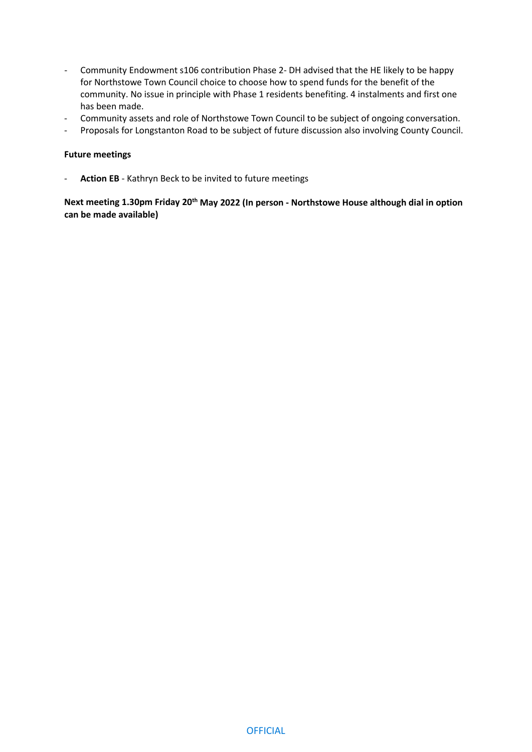- Community Endowment s106 contribution Phase 2- DH advised that the HE likely to be happy for Northstowe Town Council choice to choose how to spend funds for the benefit of the community. No issue in principle with Phase 1 residents benefiting. 4 instalments and first one has been made.
- Community assets and role of Northstowe Town Council to be subject of ongoing conversation.
- Proposals for Longstanton Road to be subject of future discussion also involving County Council.

#### **Future meetings**

Action EB - Kathryn Beck to be invited to future meetings

**Next meeting 1.30pm Friday 20th May 2022 (In person - Northstowe House although dial in option can be made available)**